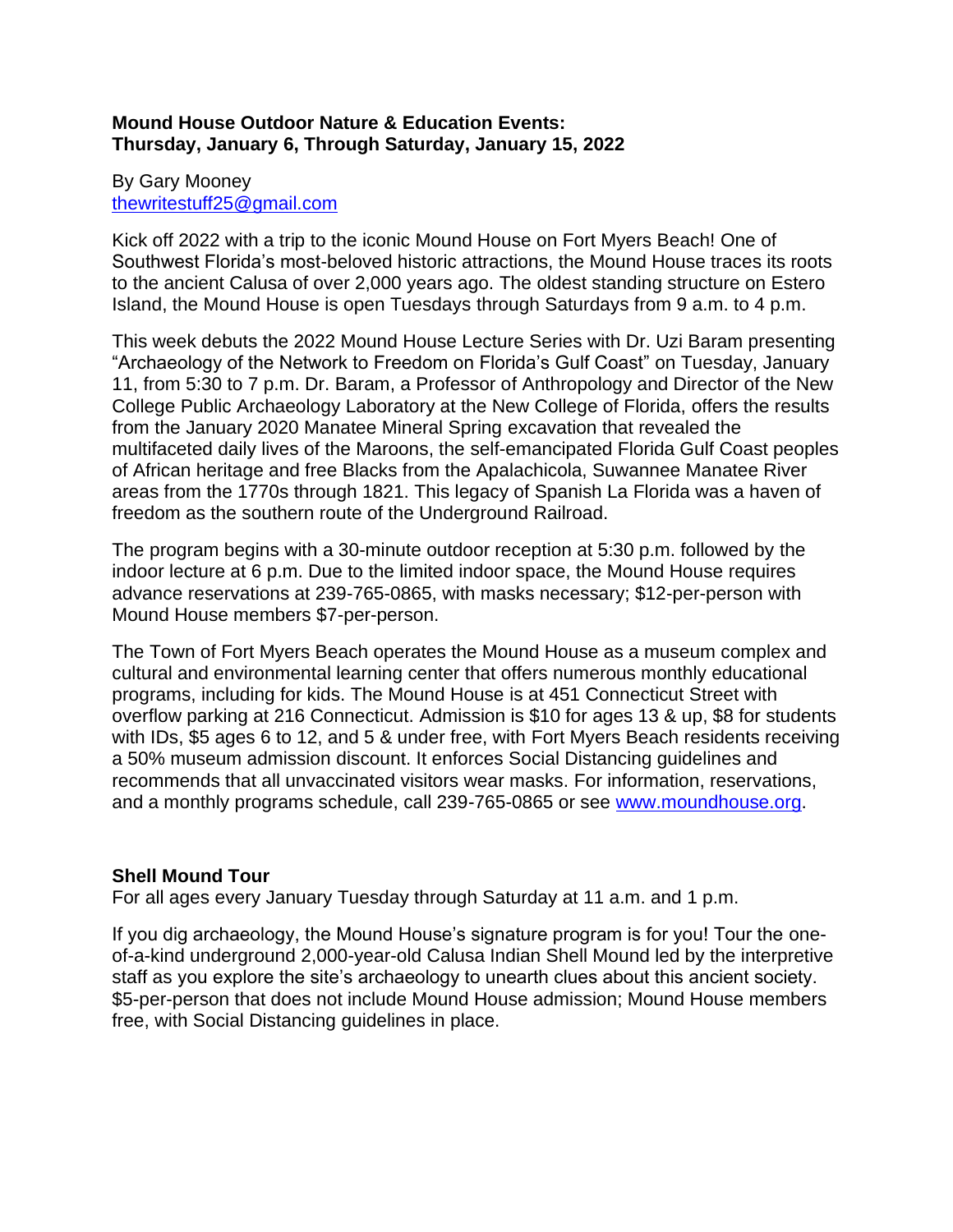# **Mound House Outdoor Nature & Education Events: Thursday, January 6, Through Saturday, January 15, 2022**

## By Gary Mooney [thewritestuff25@gmail.com](mailto:thewritestuff25@gmail.com)

Kick off 2022 with a trip to the iconic Mound House on Fort Myers Beach! One of Southwest Florida's most-beloved historic attractions, the Mound House traces its roots to the ancient Calusa of over 2,000 years ago. The oldest standing structure on Estero Island, the Mound House is open Tuesdays through Saturdays from 9 a.m. to 4 p.m.

This week debuts the 2022 Mound House Lecture Series with Dr. Uzi Baram presenting "Archaeology of the Network to Freedom on Florida's Gulf Coast" on Tuesday, January 11, from 5:30 to 7 p.m. Dr. Baram, a Professor of Anthropology and Director of the New College Public Archaeology Laboratory at the New College of Florida, offers the results from the January 2020 Manatee Mineral Spring excavation that revealed the multifaceted daily lives of the Maroons, the self-emancipated Florida Gulf Coast peoples of African heritage and free Blacks from the Apalachicola, Suwannee Manatee River areas from the 1770s through 1821. This legacy of Spanish La Florida was a haven of freedom as the southern route of the Underground Railroad.

The program begins with a 30-minute outdoor reception at 5:30 p.m. followed by the indoor lecture at 6 p.m. Due to the limited indoor space, the Mound House requires advance reservations at 239-765-0865, with masks necessary; \$12-per-person with Mound House members \$7-per-person.

The Town of Fort Myers Beach operates the Mound House as a museum complex and cultural and environmental learning center that offers numerous monthly educational programs, including for kids. The Mound House is at 451 Connecticut Street with overflow parking at 216 Connecticut. Admission is \$10 for ages 13 & up, \$8 for students with IDs, \$5 ages 6 to 12, and 5 & under free, with Fort Myers Beach residents receiving a 50% museum admission discount. It enforces Social Distancing guidelines and recommends that all unvaccinated visitors wear masks. For information, reservations, and a monthly programs schedule, call 239-765-0865 or see [www.moundhouse.org.](http://www.moundhouse.org/)

# **Shell Mound Tour**

For all ages every January Tuesday through Saturday at 11 a.m. and 1 p.m.

If you dig archaeology, the Mound House's signature program is for you! Tour the oneof-a-kind underground 2,000-year-old Calusa Indian Shell Mound led by the interpretive staff as you explore the site's archaeology to unearth clues about this ancient society. \$5-per-person that does not include Mound House admission; Mound House members free, with Social Distancing guidelines in place.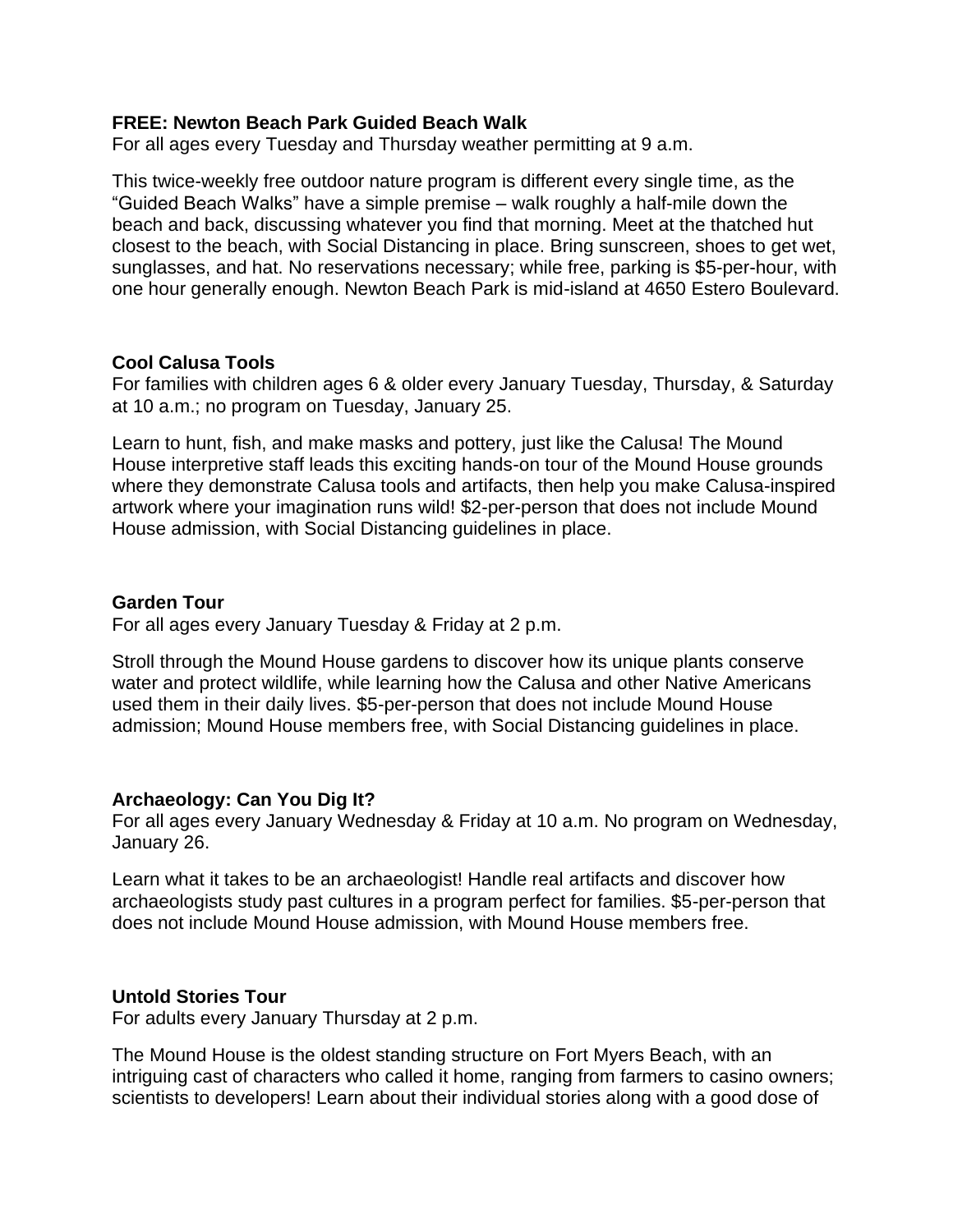#### **FREE: Newton Beach Park Guided Beach Walk**

For all ages every Tuesday and Thursday weather permitting at 9 a.m.

This twice-weekly free outdoor nature program is different every single time, as the "Guided Beach Walks" have a simple premise – walk roughly a half-mile down the beach and back, discussing whatever you find that morning. Meet at the thatched hut closest to the beach, with Social Distancing in place. Bring sunscreen, shoes to get wet, sunglasses, and hat. No reservations necessary; while free, parking is \$5-per-hour, with one hour generally enough. Newton Beach Park is mid-island at 4650 Estero Boulevard.

#### **Cool Calusa Tools**

For families with children ages 6 & older every January Tuesday, Thursday, & Saturday at 10 a.m.; no program on Tuesday, January 25.

Learn to hunt, fish, and make masks and pottery, just like the Calusa! The Mound House interpretive staff leads this exciting hands-on tour of the Mound House grounds where they demonstrate Calusa tools and artifacts, then help you make Calusa-inspired artwork where your imagination runs wild! \$2-per-person that does not include Mound House admission, with Social Distancing guidelines in place.

#### **Garden Tour**

For all ages every January Tuesday & Friday at 2 p.m.

Stroll through the Mound House gardens to discover how its unique plants conserve water and protect wildlife, while learning how the Calusa and other Native Americans used them in their daily lives. \$5-per-person that does not include Mound House admission; Mound House members free, with Social Distancing guidelines in place.

# **Archaeology: Can You Dig It?**

For all ages every January Wednesday & Friday at 10 a.m. No program on Wednesday, January 26.

Learn what it takes to be an archaeologist! Handle real artifacts and discover how archaeologists study past cultures in a program perfect for families. \$5-per-person that does not include Mound House admission, with Mound House members free.

# **Untold Stories Tour**

For adults every January Thursday at 2 p.m.

The Mound House is the oldest standing structure on Fort Myers Beach, with an intriguing cast of characters who called it home, ranging from farmers to casino owners; scientists to developers! Learn about their individual stories along with a good dose of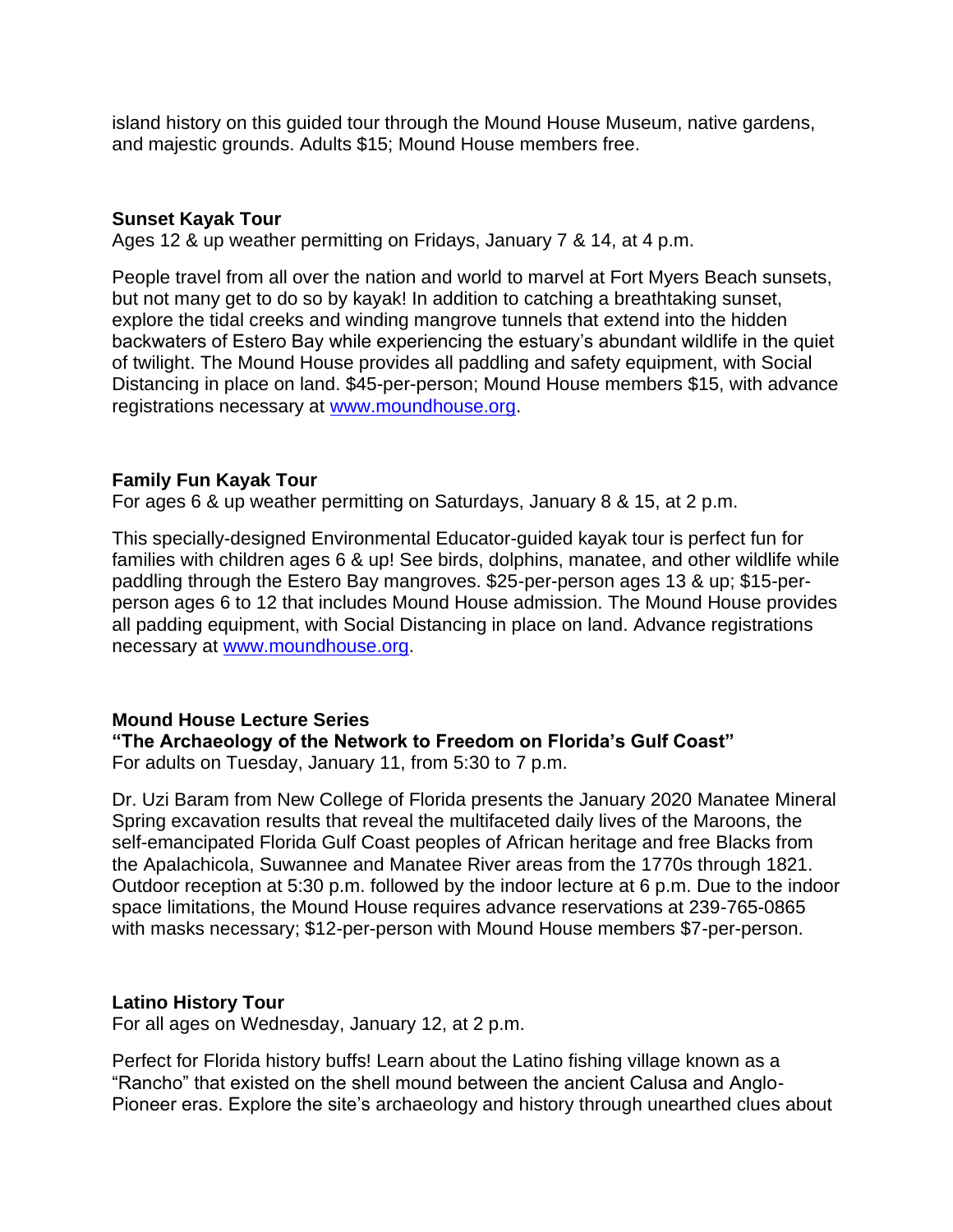island history on this guided tour through the Mound House Museum, native gardens, and majestic grounds. Adults \$15; Mound House members free.

## **Sunset Kayak Tour**

Ages 12 & up weather permitting on Fridays, January 7 & 14, at 4 p.m.

People travel from all over the nation and world to marvel at Fort Myers Beach sunsets, but not many get to do so by kayak! In addition to catching a breathtaking sunset, explore the tidal creeks and winding mangrove tunnels that extend into the hidden backwaters of Estero Bay while experiencing the estuary's abundant wildlife in the quiet of twilight. The Mound House provides all paddling and safety equipment, with Social Distancing in place on land. \$45-per-person; Mound House members \$15, with advance registrations necessary at [www.moundhouse.org.](http://www.moundhouse.org/)

# **Family Fun Kayak Tour**

For ages 6 & up weather permitting on Saturdays, January 8 & 15, at 2 p.m.

This specially-designed Environmental Educator-guided kayak tour is perfect fun for families with children ages 6 & up! See birds, dolphins, manatee, and other wildlife while paddling through the Estero Bay mangroves. \$25-per-person ages 13 & up; \$15-perperson ages 6 to 12 that includes Mound House admission. The Mound House provides all padding equipment, with Social Distancing in place on land. Advance registrations necessary at [www.moundhouse.org.](http://www.moundhouse.org/)

#### **Mound House Lecture Series**

#### **"The Archaeology of the Network to Freedom on Florida's Gulf Coast"** For adults on Tuesday, January 11, from 5:30 to 7 p.m.

Dr. Uzi Baram from New College of Florida presents the January 2020 Manatee Mineral Spring excavation results that reveal the multifaceted daily lives of the Maroons, the self-emancipated Florida Gulf Coast peoples of African heritage and free Blacks from the Apalachicola, Suwannee and Manatee River areas from the 1770s through 1821. Outdoor reception at 5:30 p.m. followed by the indoor lecture at 6 p.m. Due to the indoor space limitations, the Mound House requires advance reservations at 239-765-0865 with masks necessary; \$12-per-person with Mound House members \$7-per-person.

#### **Latino History Tour**

For all ages on Wednesday, January 12, at 2 p.m.

Perfect for Florida history buffs! Learn about the Latino fishing village known as a "Rancho" that existed on the shell mound between the ancient Calusa and Anglo-Pioneer eras. Explore the site's archaeology and history through unearthed clues about